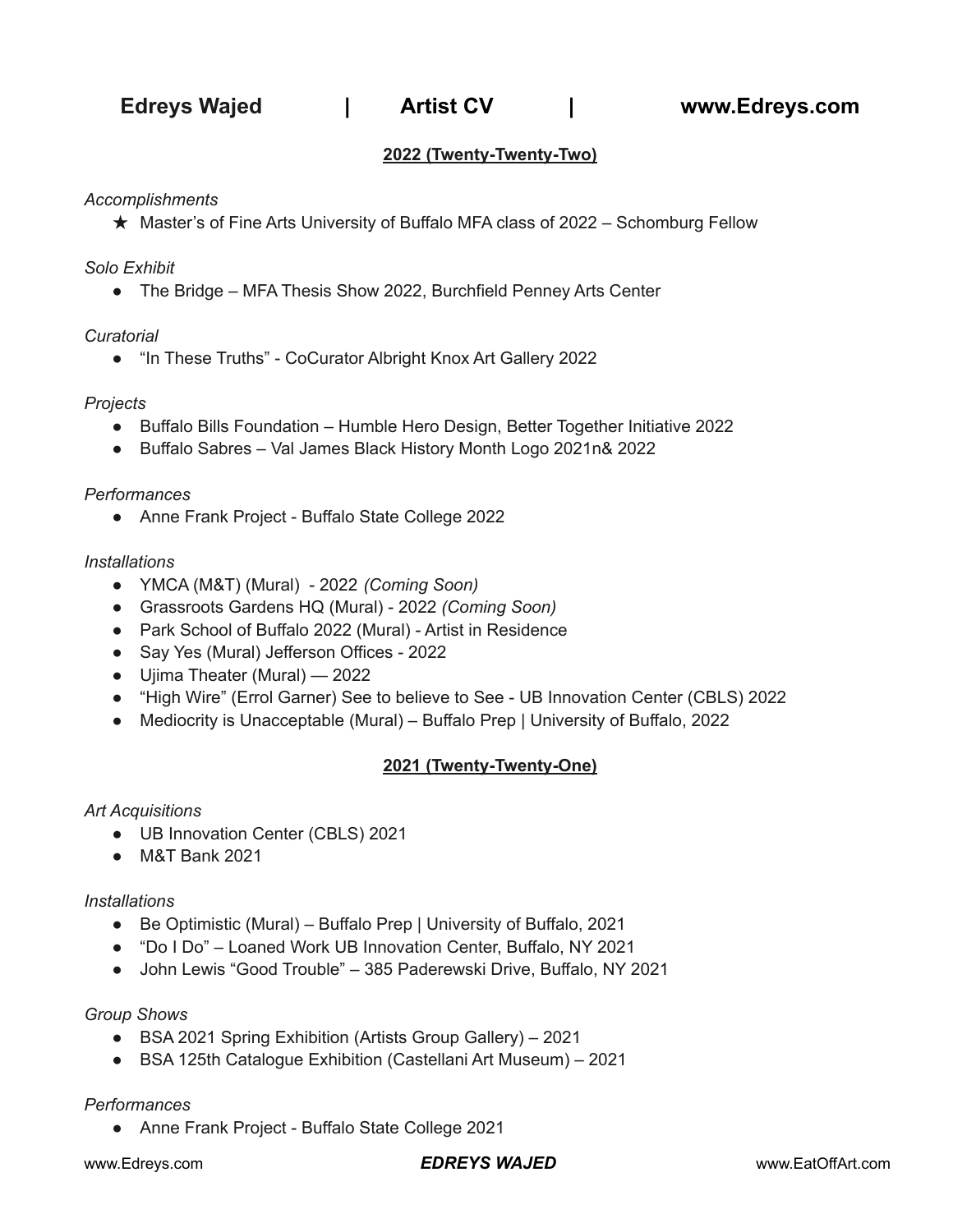**Edreys Wajed | Artist CV | www.Edreys.com**

# **2022 (Twenty-Twenty-Two)**

*Accomplishments*

★ Master's of Fine Arts University of Buffalo MFA class of 2022 – Schomburg Fellow

*Solo Exhibit*

● The Bridge – MFA Thesis Show 2022, Burchfield Penney Arts Center

#### *Curatorial*

● "In These Truths" - CoCurator Albright Knox Art Gallery 2022

### *Projects*

- Buffalo Bills Foundation Humble Hero Design, Better Together Initiative 2022
- Buffalo Sabres Val James Black History Month Logo 2021n& 2022

#### *Performances*

● Anne Frank Project - Buffalo State College 2022

### *Installations*

- YMCA (M&T) (Mural) 2022 *(Coming Soon)*
- Grassroots Gardens HQ (Mural) 2022 *(Coming Soon)*
- Park School of Buffalo 2022 (Mural) Artist in Residence
- Say Yes (Mural) Jefferson Offices 2022
- Ujima Theater (Mural) 2022
- "High Wire" (Errol Garner) See to believe to See UB Innovation Center (CBLS) 2022
- Mediocrity is Unacceptable (Mural) Buffalo Prep | University of Buffalo, 2022

# **2021 (Twenty-Twenty-One)**

## *Art Acquisitions*

- UB Innovation Center (CBLS) 2021
- M&T Bank 2021

#### *Installations*

- Be Optimistic (Mural) Buffalo Prep | University of Buffalo, 2021
- "Do I Do" Loaned Work UB Innovation Center, Buffalo, NY 2021
- John Lewis "Good Trouble" 385 Paderewski Drive, Buffalo, NY 2021

## *Group Shows*

- BSA 2021 Spring Exhibition (Artists Group Gallery) 2021
- BSA 125th Catalogue Exhibition (Castellani Art Museum) 2021

#### *Performances*

● Anne Frank Project - Buffalo State College 2021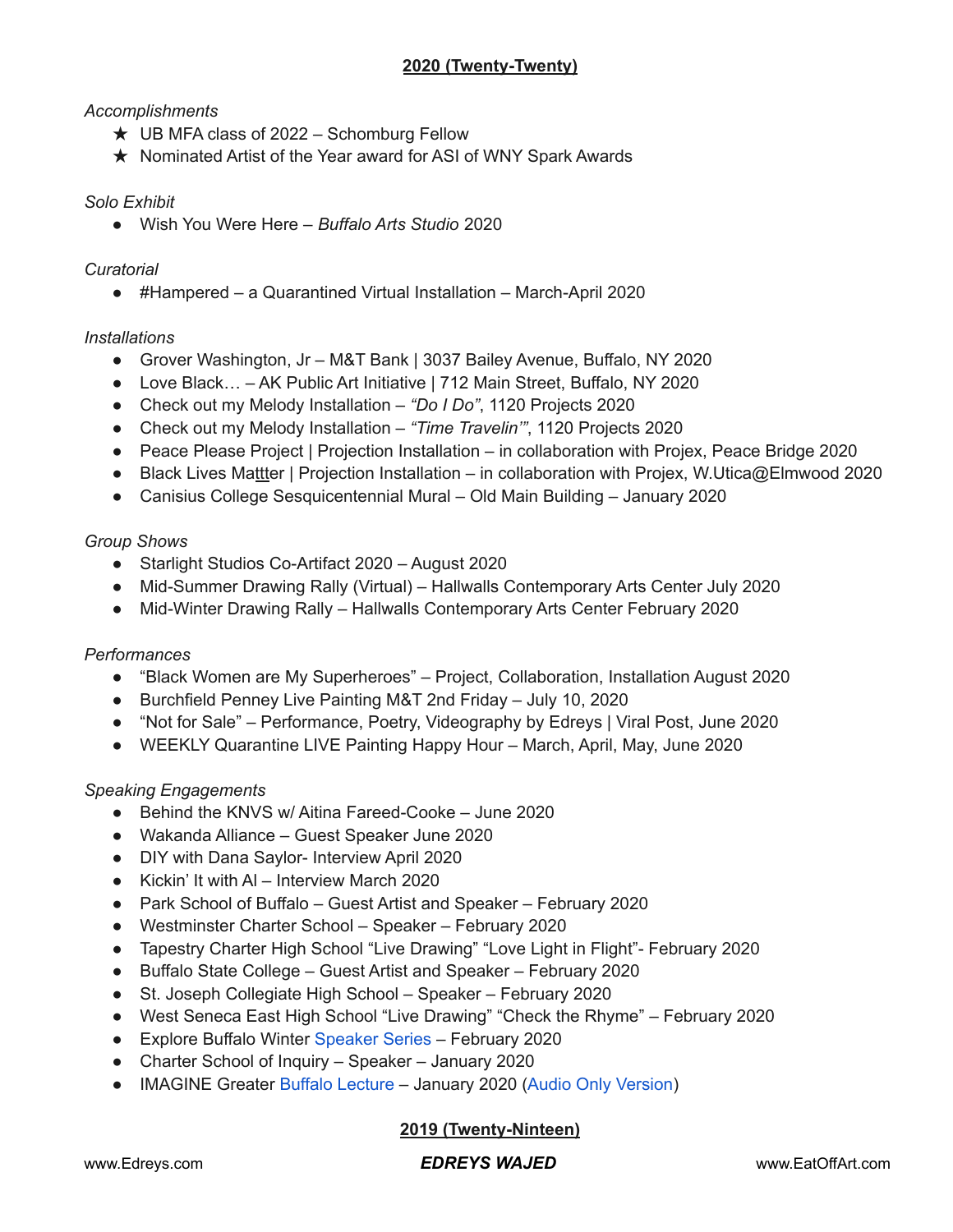# **2020 (Twenty-Twenty)**

# *Accomplishments*

- $\star$  UB MFA class of 2022 Schomburg Fellow
- ★ Nominated Artist of the Year award for ASI of WNY Spark Awards

## *Solo Exhibit*

● Wish You Were Here – *Buffalo Arts Studio* 2020

## *Curatorial*

● #Hampered – a Quarantined Virtual Installation – March-April 2020

## *Installations*

- Grover Washington, Jr M&T Bank | 3037 Bailey Avenue, Buffalo, NY 2020
- Love Black... AK Public Art Initiative | 712 Main Street, Buffalo, NY 2020
- Check out my Melody Installation *"Do I Do"*, 1120 Projects 2020
- Check out my Melody Installation *"Time Travelin'"*, 1120 Projects 2020
- Peace Please Project | Projection Installation in collaboration with Projex, Peace Bridge 2020
- Black Lives Mattter | Projection Installation in collaboration with Projex, W.Utica@Elmwood 2020
- Canisius College Sesquicentennial Mural Old Main Building January 2020

## *Group Shows*

- Starlight Studios Co-Artifact 2020 August 2020
- Mid-Summer Drawing Rally (Virtual) Hallwalls Contemporary Arts Center July 2020
- Mid-Winter Drawing Rally Hallwalls Contemporary Arts Center February 2020

## *Performances*

- "Black Women are My Superheroes" Project, Collaboration, Installation August 2020
- Burchfield Penney Live Painting M&T 2nd Friday July 10, 2020
- "Not for Sale" Performance, Poetry, Videography by Edreys | Viral Post, June 2020
- WEEKLY Quarantine LIVE Painting Happy Hour March, April, May, June 2020

## *Speaking Engagements*

- Behind the KNVS w/ Aitina Fareed-Cooke June 2020
- Wakanda Alliance Guest Speaker June 2020
- DIY with Dana Saylor- Interview April 2020
- Kickin' It with Al Interview March 2020
- Park School of Buffalo Guest Artist and Speaker February 2020
- Westminster Charter School Speaker February 2020
- Tapestry Charter High School "Live Drawing" "Love Light in Flight"- February 2020
- Buffalo State College Guest Artist and Speaker February 2020
- St. Joseph Collegiate High School Speaker February 2020
- West Seneca East High School "Live Drawing" "Check the Rhyme" February 2020
- Explore Buffalo Winter [Speaker](https://youtu.be/BQHK9QYxikQ) Series February 2020
- Charter School of Inquiry Speaker January 2020
- IMAGINE Greater Buffalo [Lecture](https://youtu.be/6_ZQXhCLClo) January 2020 (Audio Only [Version\)](https://archive.org/details/1604060187)

# **2019 (Twenty-Ninteen)**

## www.Edreys.com *EDREYS WAJED* www.EatOffArt.com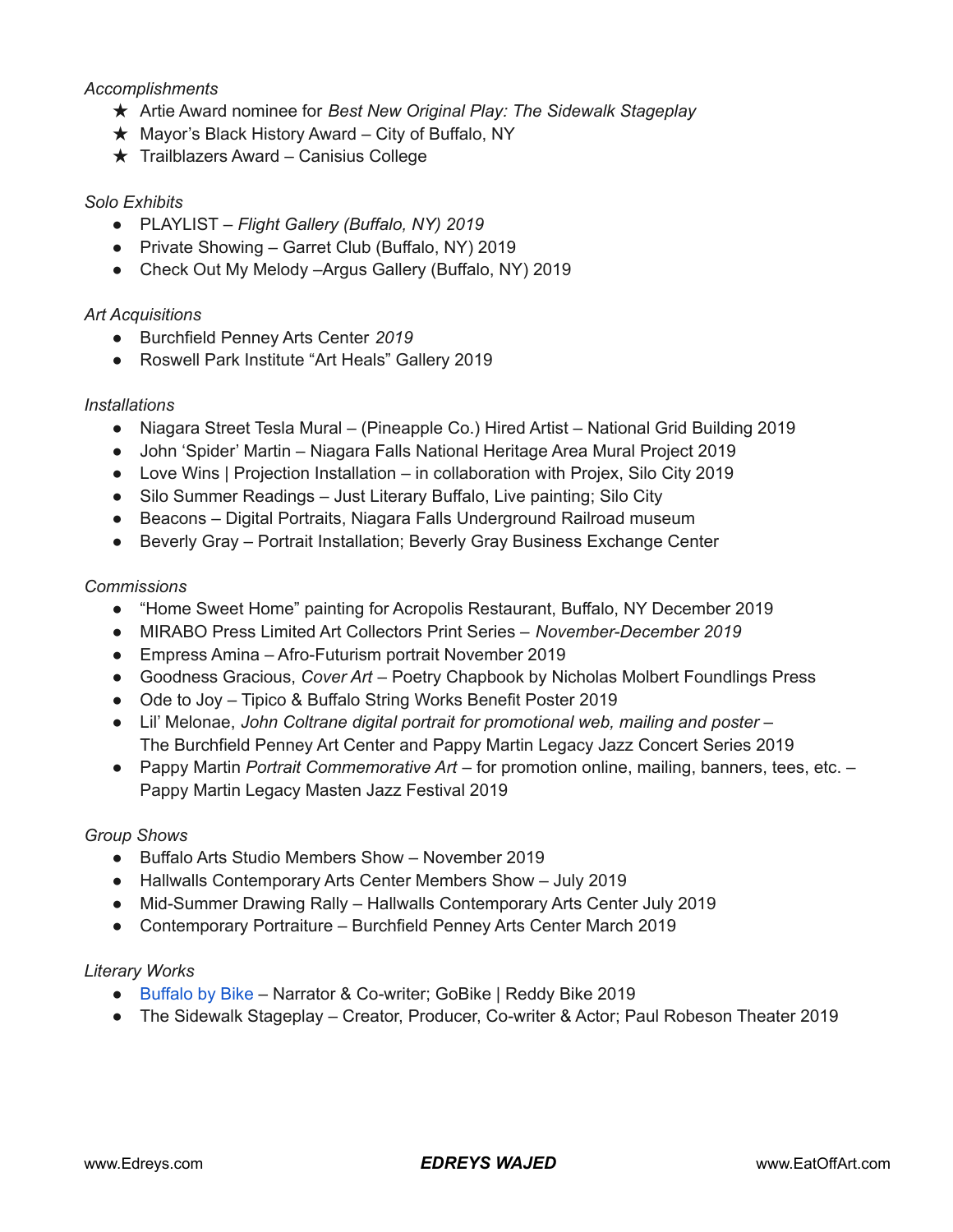### *Accomplishments*

- ★ Artie Award nominee for *Best New Original Play: The Sidewalk Stageplay*
- $\star$  Mayor's Black History Award City of Buffalo, NY
- ★ Trailblazers Award Canisius College

#### *Solo Exhibits*

- PLAYLIST *– Flight Gallery (Buffalo, NY) 2019*
- Private Showing Garret Club (Buffalo, NY) 2019
- Check Out My Melody –Argus Gallery (Buffalo, NY) 2019

#### *Art Acquisitions*

- Burchfield Penney Arts Center *2019*
- Roswell Park Institute "Art Heals" Gallery 2019

#### *Installations*

- Niagara Street Tesla Mural (Pineapple Co.) Hired Artist National Grid Building 2019
- John 'Spider' Martin Niagara Falls National Heritage Area Mural Project 2019
- Love Wins | Projection Installation in collaboration with Projex, Silo City 2019
- Silo Summer Readings Just Literary Buffalo, Live painting; Silo City
- Beacons Digital Portraits, Niagara Falls Underground Railroad museum
- Beverly Gray Portrait Installation; Beverly Gray Business Exchange Center

#### *Commissions*

- "Home Sweet Home" painting for Acropolis Restaurant, Buffalo, NY December 2019
- MIRABO Press Limited Art Collectors Print Series *November-December 2019*
- Empress Amina Afro-Futurism portrait November 2019
- Goodness Gracious, *Cover Art* Poetry Chapbook by Nicholas Molbert Foundlings Press
- Ode to Joy Tipico & Buffalo String Works Benefit Poster 2019
- Lil' Melonae, *John Coltrane digital portrait for promotional web, mailing and poster –* The Burchfield Penney Art Center and Pappy Martin Legacy Jazz Concert Series 2019
- Pappy Martin *Portrait Commemorative Art* for promotion online, mailing, banners, tees, etc. Pappy Martin Legacy Masten Jazz Festival 2019

#### *Group Shows*

- Buffalo Arts Studio Members Show November 2019
- Hallwalls Contemporary Arts Center Members Show July 2019
- Mid-Summer Drawing Rally Hallwalls Contemporary Arts Center July 2019
- Contemporary Portraiture Burchfield Penney Arts Center March 2019

#### *Literary Works*

- [Buffalo](https://vimeo.com/332335053) by Bike Narrator & Co-writer; GoBike | Reddy Bike 2019
- The Sidewalk Stageplay Creator, Producer, Co-writer & Actor; Paul Robeson Theater 2019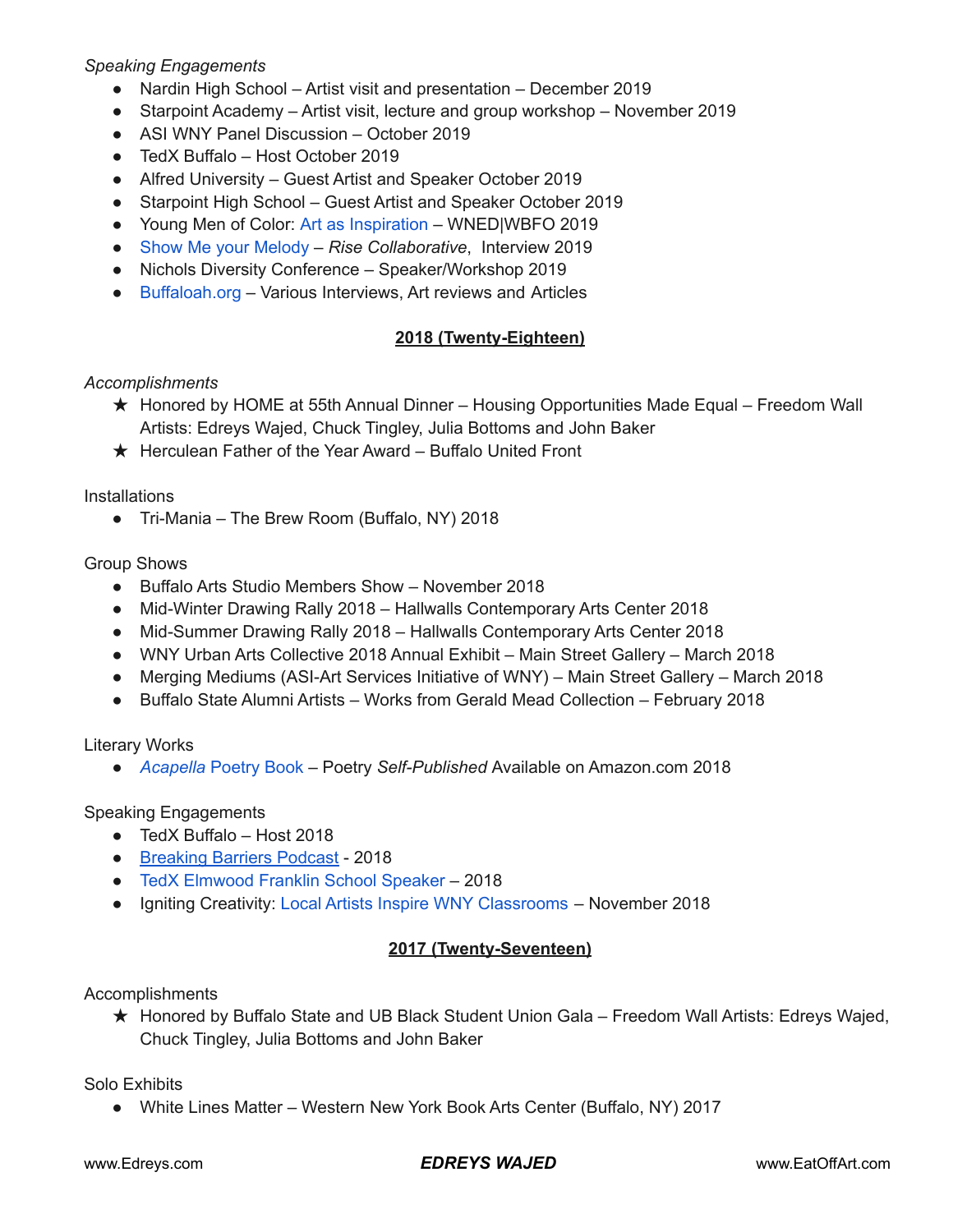## *Speaking Engagements*

- Nardin High School Artist visit and presentation December 2019
- Starpoint Academy Artist visit, lecture and group workshop November 2019
- ASI WNY Panel Discussion October 2019
- TedX Buffalo Host October 2019
- Alfred University Guest Artist and Speaker October 2019
- Starpoint High School Guest Artist and Speaker October 2019
- Young Men of Color: Art as [Inspiration](https://youtu.be/oLwXL9X5Zio) WNED|WBFO 2019
- Show Me your [Melody](https://youtu.be/UKxXjkW6MTA) *Rise Collaborative*, Interview 2019
- Nichols Diversity Conference Speaker/Workshop 2019
- [Buffaloah.org](https://buffaloah.com/a/archs/wajed/wajed.html) Various Interviews, Art reviews and Articles

## **2018 (Twenty-Eighteen)**

### *Accomplishments*

- ★ Honored by HOME at 55th Annual Dinner Housing Opportunities Made Equal Freedom Wall Artists: Edreys Wajed, Chuck Tingley, Julia Bottoms and John Baker
- ★ Herculean Father of the Year Award Buffalo United Front

**Installations** 

● Tri-Mania – The Brew Room (Buffalo, NY) 2018

### Group Shows

- Buffalo Arts Studio Members Show November 2018
- Mid-Winter Drawing Rally 2018 Hallwalls Contemporary Arts Center 2018
- Mid-Summer Drawing Rally 2018 Hallwalls Contemporary Arts Center 2018
- WNY Urban Arts Collective 2018 Annual Exhibit Main Street Gallery March 2018
- Merging Mediums (ASI-Art Services Initiative of WNY) Main Street Gallery March 2018
- Buffalo State Alumni Artists Works from Gerald Mead Collection February 2018

#### Literary Works

● *[Acapella](https://www.amazon.com/cappella-Written-Poetry-Edreys-Wajed/dp/1981256849)* Poetry Book – Poetry *Self-Published* Available on Amazon.com 2018

## Speaking Engagements

- TedX Buffalo Host 2018
- [Breaking](https://www.breakingbarriersbuffalo.org/post/breaking-barriers-podcast-episode-10-feat-edreys-wajed) Barriers Podcast 2018
- TedX [Elmwood](https://youtu.be/gn_1Wgj8Y5Q) Franklin School Speaker 2018
- Igniting Creativity: Local Artists Inspire WNY [Classrooms](https://www.albrightknox.org/art/exhibitions/igniting-creativity-local-artists-inspire-wny-classrooms) November 2018

# **2017 (Twenty-Seventeen)**

## Accomplishments

★ Honored by Buffalo State and UB Black Student Union Gala – Freedom Wall Artists: Edreys Wajed, Chuck Tingley, Julia Bottoms and John Baker

Solo Exhibits

● White Lines Matter – Western New York Book Arts Center (Buffalo, NY) 2017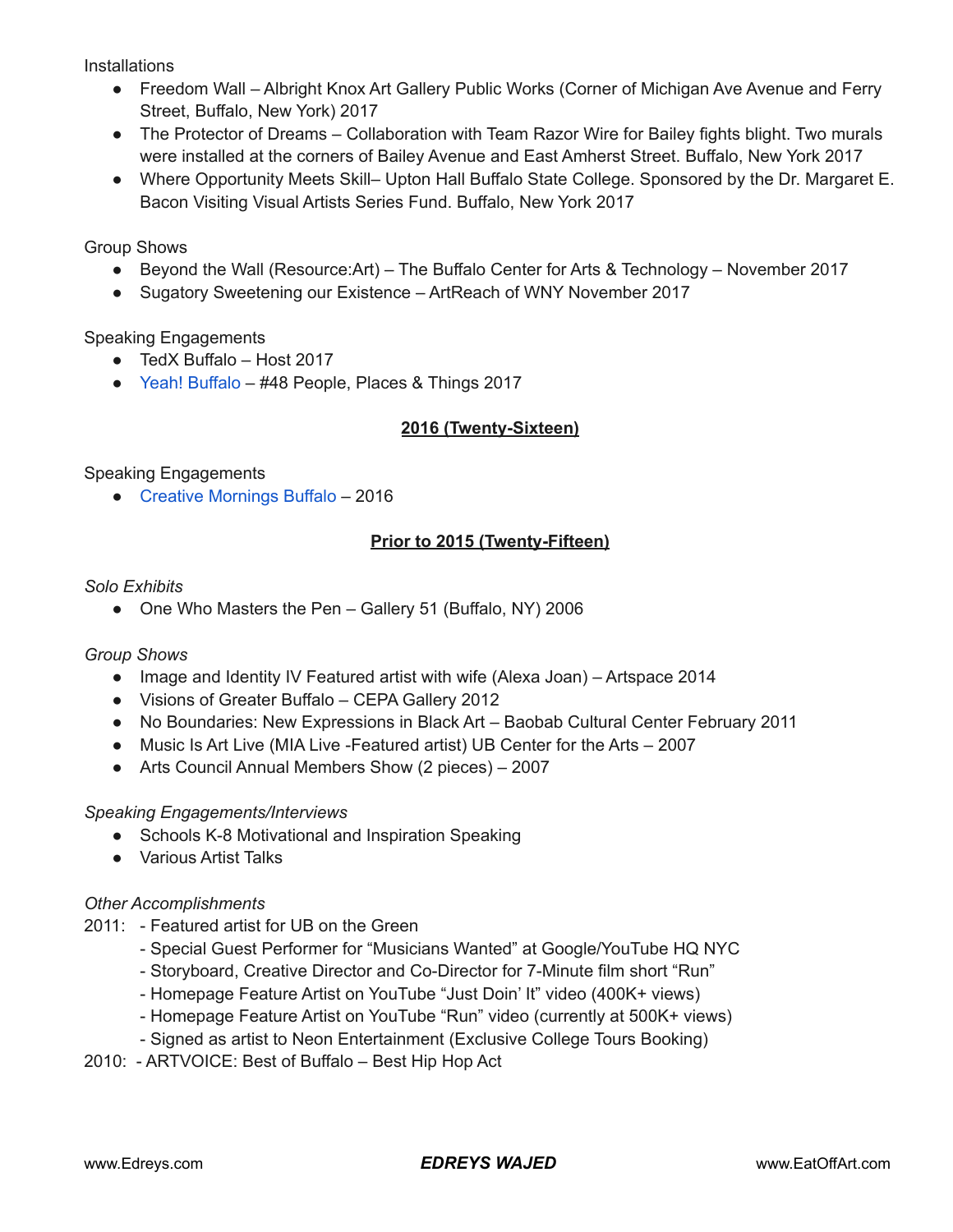**Installations** 

- Freedom Wall Albright Knox Art Gallery Public Works (Corner of Michigan Ave Avenue and Ferry Street, Buffalo, New York) 2017
- The Protector of Dreams Collaboration with Team Razor Wire for Bailey fights blight. Two murals were installed at the corners of Bailey Avenue and East Amherst Street. Buffalo, New York 2017
- Where Opportunity Meets Skill– Upton Hall Buffalo State College. Sponsored by the Dr. Margaret E. Bacon Visiting Visual Artists Series Fund. Buffalo, New York 2017

Group Shows

- Beyond the Wall (Resource:Art) The Buffalo Center for Arts & Technology November 2017
- Sugatory Sweetening our Existence ArtReach of WNY November 2017

Speaking Engagements

- TedX Buffalo Host 2017
- Yeah! [Buffalo](https://yeahbuffalo.com/edreys-wajed/) #48 People, Places & Things 2017

# **2016 (Twenty-Sixteen)**

Speaking Engagements

● Creative [Mornings](https://creativemornings.com/talks/edreys-wajed) Buffalo – 2016

## **Prior to 2015 (Twenty-Fifteen)**

### *Solo Exhibits*

• One Who Masters the Pen – Gallery 51 (Buffalo, NY) 2006

## *Group Shows*

- Image and Identity IV Featured artist with wife (Alexa Joan) Artspace 2014
- Visions of Greater Buffalo CEPA Gallery 2012
- No Boundaries: New Expressions in Black Art Baobab Cultural Center February 2011
- Music Is Art Live (MIA Live -Featured artist) UB Center for the Arts 2007
- Arts Council Annual Members Show (2 pieces) 2007

## *Speaking Engagements/Interviews*

- Schools K-8 Motivational and Inspiration Speaking
- Various Artist Talks

## *Other Accomplishments*

- 2011: Featured artist for UB on the Green
	- Special Guest Performer for "Musicians Wanted" at Google/YouTube HQ NYC
	- Storyboard, Creative Director and Co-Director for 7-Minute film short "Run"
	- Homepage Feature Artist on YouTube "Just Doin' It" video (400K+ views)
	- Homepage Feature Artist on YouTube "Run" video (currently at 500K+ views)
	- Signed as artist to Neon Entertainment (Exclusive College Tours Booking)
- 2010: ARTVOICE: Best of Buffalo Best Hip Hop Act